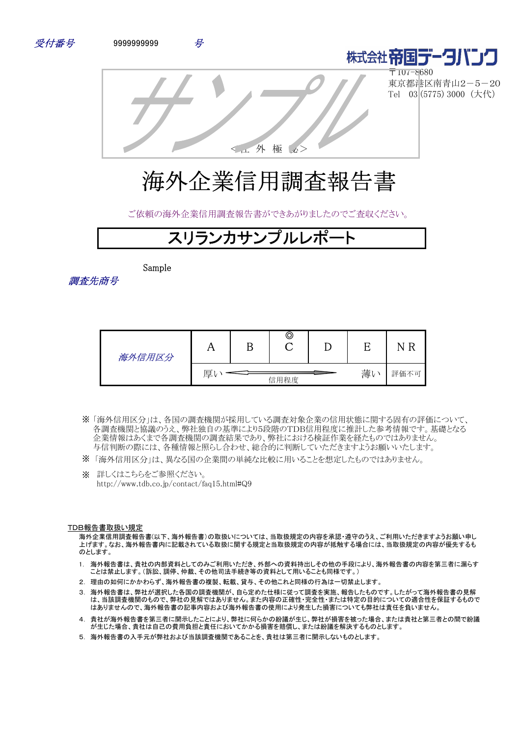



〒107-8680 東京都港区南青山2-5-20 Tel 03 (5775) 3000 (大代)

<社 外 極 秘>

# 海外企業信用調査報告書

ご依頼の海外企業信用調査報告書ができあがりましたのでご査収ください。

# スリランカサンプルレポ

Sample



| 海外信用区分 |   | O    |          | R<br>N |
|--------|---|------|----------|--------|
|        | 厚 | 信用程度 | 薄<br>. V | 評価不可   |

- 「海外信用区分」は、各国の調査機関が採用している調査対象企業の信用状態に関する固有の評価について、 ※ 各調査機関と協議のうえ、弊社独自の基準により5段階のTDB信用程度に推計した参考情報です。基礎となる 企業情報はあくまで各調査機関の調査結果であり、弊社における検証作業を経たものではありません。 与信判断の際には、各種情報と照らし合わせ、総合的に判断していただきますようお願いいたします。
- ※ 「海外信用区分」は、異なる国の企業間の単純な比較に用いることを想定したものではありません。
- ※ 詳しくはこちらをご参照ください。 http://www.tdb.co.jp/contact/faq15.html#Q9

#### TDB報告書取扱い規定

海外企業信用調査報告書(以下、海外報告書)の取扱いについては、当取扱規定の内容を承認・遵守のうえ、ご利用いただきますようお願い申し 上げます。なお、海外報告書内に記載されている取扱に関する規定と当取扱規定の内容が抵触する場合には、当取扱規定の内容が優先するも のとします。

- 1. 海外報告書は、貴社の内部資料としてのみご利用いただき、外部への資料持出しその他の手段により、海外報告書の内容を第三者に漏らす ことは禁止します。(訴訟、調停、仲裁、その他司法手続き等の資料として用いることも同様です。)
- 2. 理由の如何にかかわらず、海外報告書の複製、転載、貸与、その他これと同様の行為は一切禁止します。
- 3. 海外報告書は、弊社が選択した各国の調査機関が、自ら定めた仕様に従って調査を実施、報告したものです。したがって海外報告書の見解 は、当該調査機関のもので、弊社の見解ではありません。また内容の正確性・完全性・または特定の目的についての適合性を保証するもので はありませんので、海外報告書の記事内容および海外報告書の使用により発生した損害についても弊社は責任を負いません。
- 4. 貴社が海外報告書を第三者に開示したことにより、弊社に何らかの紛議が生じ、弊社が損害を被った場合、または貴社と第三者との間で紛議 が生じた場合、貴社は自己の費用負担と責任においてかかる損害を賠償し、または紛議を解決するものとします。
- 5. 海外報告書の入手元が弊社および当該調査機関であることを、貴社は第三者に開示しないものとします。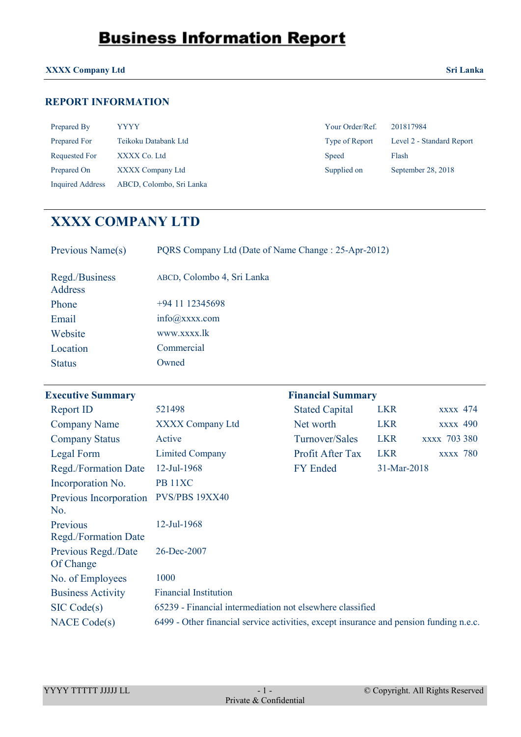#### **XXXX Company Ltd Sri Lanka**

### **REPORT INFORMATION**

| Prepared By      | <b>YYYY</b>              | Your Order/Ref. | 201817984                 |
|------------------|--------------------------|-----------------|---------------------------|
| Prepared For     | Teikoku Databank Ltd     | Type of Report  | Level 2 - Standard Report |
| Requested For    | XXXX Co. Ltd             | Speed           | Flash                     |
| Prepared On      | XXXX Company Ltd         | Supplied on     | September 28, 2018        |
| Inquired Address | ABCD, Colombo, Sri Lanka |                 |                           |

| Your Order/Ref. | 201817984                |
|-----------------|--------------------------|
| Type of Report  | Level 2 - Standard Repor |
| <b>Speed</b>    | Flash                    |
| Supplied on     | September 28, 2018       |

### **XXXX COMPANY LTD**

| Previous Name(s)                 | PQRS Company Ltd (Date of Name Change: 25-Apr-2012) |
|----------------------------------|-----------------------------------------------------|
| Regd./Business<br><b>Address</b> | ABCD, Colombo 4, Sri Lanka                          |
| Phone                            | $+94$ 11 12345698                                   |
| Email                            | $info(\omega)$ xxxx.com                             |
| Website                          | www.xxxx.lk                                         |
| Location                         | Commercial                                          |
| <b>Status</b>                    | Owned                                               |

#### **Executive Summary**

| <b>Report ID</b>                 | 521498                                                                                 | <b>Stated Capital</b> | <b>LKR</b>  | <b>XXXX</b> 474     |
|----------------------------------|----------------------------------------------------------------------------------------|-----------------------|-------------|---------------------|
| <b>Company Name</b>              | <b>XXXX Company Ltd</b>                                                                | Net worth             | <b>LKR</b>  | <b>XXXX</b> 490     |
| <b>Company Status</b>            | Active                                                                                 | Turnover/Sales        | <b>LKR</b>  | <b>XXXX 703 380</b> |
| Legal Form                       | <b>Limited Company</b>                                                                 | Profit After Tax      | <b>LKR</b>  | <b>XXXX</b> 780     |
| Regd./Formation Date             | 12-Jul-1968                                                                            | <b>FY Ended</b>       | 31-Mar-2018 |                     |
| Incorporation No.                | PB <sub>11</sub> XC                                                                    |                       |             |                     |
| Previous Incorporation<br>No.    | PVS/PBS 19XX40                                                                         |                       |             |                     |
| Previous<br>Regd./Formation Date | 12-Jul-1968                                                                            |                       |             |                     |
| Previous Regd./Date<br>Of Change | 26-Dec-2007                                                                            |                       |             |                     |
| No. of Employees                 | 1000                                                                                   |                       |             |                     |
| <b>Business Activity</b>         | <b>Financial Institution</b>                                                           |                       |             |                     |
| SIC Code(s)                      | 65239 - Financial intermediation not elsewhere classified                              |                       |             |                     |
| <b>NACE Code(s)</b>              | 6499 - Other financial service activities, except insurance and pension funding n.e.c. |                       |             |                     |

**Financial Summary**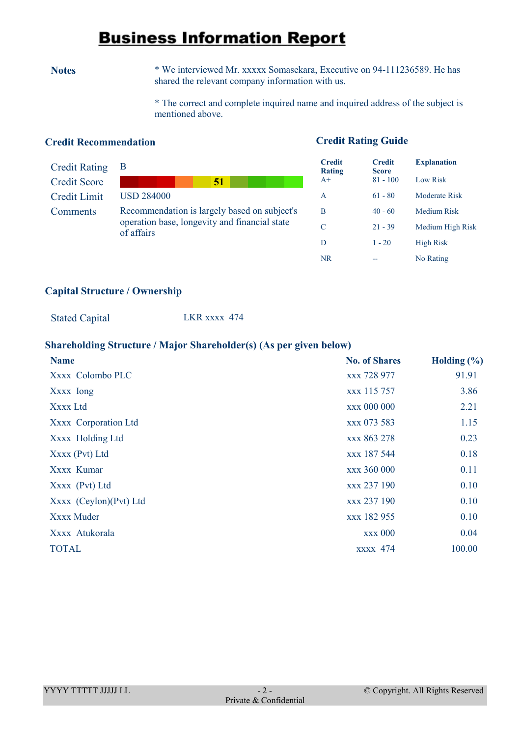**Notes** \* We interviewed Mr. xxxxx Somasekara, Executive on 94-111236589. He has shared the relevant company information with us.

> \* The correct and complete inquired name and inquired address of the subject is mentioned above.

#### **Credit Recommendation**

#### **Credit Rating Guide**

| <b>Credit Rating</b> |                                                                                                             |
|----------------------|-------------------------------------------------------------------------------------------------------------|
| <b>Credit Score</b>  | 51                                                                                                          |
| Credit Limit         | <b>USD 284000</b>                                                                                           |
| Comments             | Recommendation is largely based on subject's<br>operation base, longevity and financial state<br>of affairs |

| <b>Credit</b><br><b>Rating</b> | <b>Credit</b><br><b>Score</b> | <b>Explanation</b>   |
|--------------------------------|-------------------------------|----------------------|
| $A+$                           | $81 - 100$                    | Low Risk             |
| A                              | $61 - 80$                     | <b>Moderate Risk</b> |
| B                              | $40 - 60$                     | <b>Medium Risk</b>   |
| C                              | $21 - 39$                     | Medium High Risk     |
| D                              | $1 - 20$                      | <b>High Risk</b>     |
| NR                             |                               | No Rating            |

#### **Capital Structure / Ownership**

Stated Capital LKR xxxx 474

#### **Shareholding Structure / Major Shareholder(s) (As per given below)**

| <b>Name</b>            | <b>No. of Shares</b> | Holding $(\% )$ |
|------------------------|----------------------|-----------------|
| Xxxx Colombo PLC       | xxx 728 977          | 91.91           |
| Xxxx Iong              | xxx 115 757          | 3.86            |
| Xxxx Ltd               | xxx 000 000          | 2.21            |
| Xxxx Corporation Ltd   | xxx 073 583          | 1.15            |
| Xxxx Holding Ltd       | xxx 863 278          | 0.23            |
| Xxxx (Pvt) Ltd         | xxx 187 544          | 0.18            |
| Xxxx Kumar             | xxx 360 000          | 0.11            |
| Xxxx (Pvt) Ltd         | xxx 237 190          | 0.10            |
| Xxxx (Ceylon)(Pvt) Ltd | xxx 237 190          | 0.10            |
| Xxxx Muder             | xxx 182 955          | 0.10            |
| Xxxx Atukorala         | <b>xxx 000</b>       | 0.04            |
| <b>TOTAL</b>           | <b>XXXX</b> 474      | 100.00          |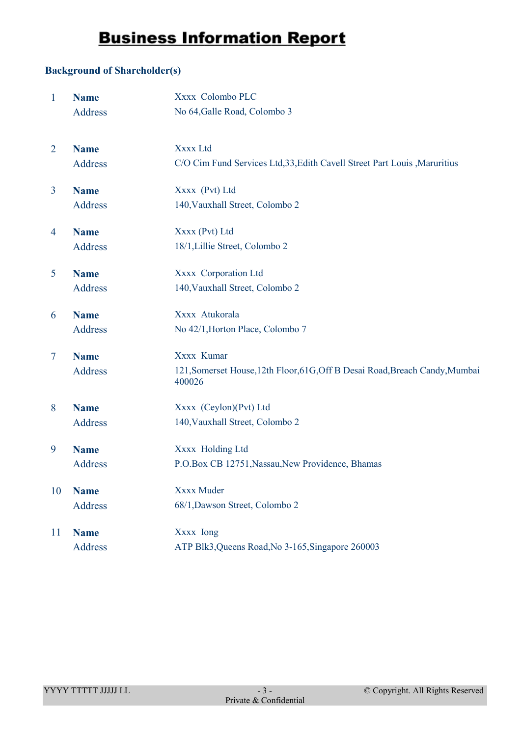#### **Background of Shareholder(s)**

| $\mathbf{1}$   | <b>Name</b>    | Xxxx Colombo PLC                                                                       |
|----------------|----------------|----------------------------------------------------------------------------------------|
|                | <b>Address</b> | No 64, Galle Road, Colombo 3                                                           |
| $\overline{2}$ | <b>Name</b>    | Xxxx Ltd                                                                               |
|                | <b>Address</b> | C/O Cim Fund Services Ltd, 33, Edith Cavell Street Part Louis, Maruritius              |
| $\overline{3}$ | <b>Name</b>    | Xxxx (Pvt) Ltd                                                                         |
|                | Address        | 140, Vauxhall Street, Colombo 2                                                        |
| 4              | <b>Name</b>    | Xxxx (Pvt) Ltd                                                                         |
|                | <b>Address</b> | 18/1, Lillie Street, Colombo 2                                                         |
| 5              | <b>Name</b>    | Xxxx Corporation Ltd                                                                   |
|                | <b>Address</b> | 140, Vauxhall Street, Colombo 2                                                        |
| 6              | <b>Name</b>    | Xxxx Atukorala                                                                         |
|                | Address        | No 42/1, Horton Place, Colombo 7                                                       |
| $\overline{7}$ | <b>Name</b>    | Xxxx Kumar                                                                             |
|                | <b>Address</b> | 121, Somerset House, 12th Floor, 61G, Off B Desai Road, Breach Candy, Mumbai<br>400026 |
| 8              | <b>Name</b>    | Xxxx (Ceylon)(Pvt) Ltd                                                                 |
|                | Address        | 140, Vauxhall Street, Colombo 2                                                        |
| 9              | <b>Name</b>    | Xxxx Holding Ltd                                                                       |
|                | <b>Address</b> | P.O.Box CB 12751, Nassau, New Providence, Bhamas                                       |
| 10             | <b>Name</b>    | Xxxx Muder                                                                             |
|                | <b>Address</b> | 68/1, Dawson Street, Colombo 2                                                         |
| 11             | <b>Name</b>    | Xxxx Iong                                                                              |
|                | Address        | ATP Blk3, Queens Road, No 3-165, Singapore 260003                                      |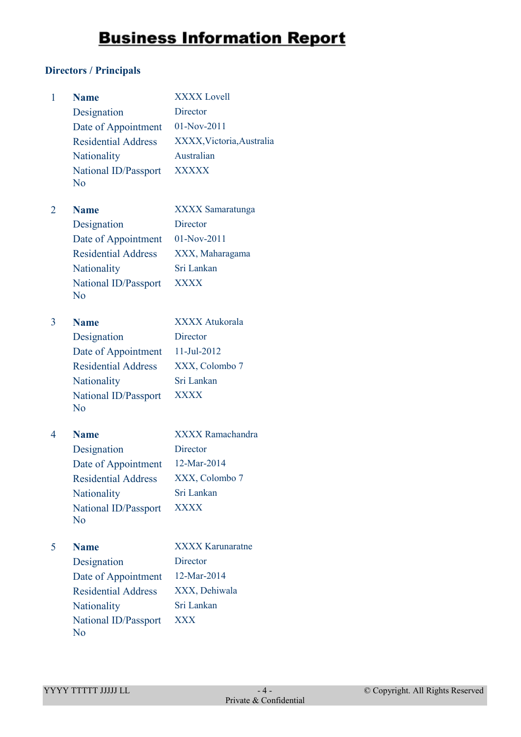#### **Directors / Principals**

| 1 | <b>Name</b>                | <b>XXXX Lovell</b>        |
|---|----------------------------|---------------------------|
|   | Designation                | Director                  |
|   | Date of Appointment        | 01-Nov-2011               |
|   | <b>Residential Address</b> | XXXX, Victoria, Australia |
|   | Nationality                | Australian                |
|   | National ID/Passport       | <b>XXXXX</b>              |
|   | N <sub>0</sub>             |                           |
| 2 | <b>Name</b>                | <b>XXXX</b> Samaratunga   |
|   | Designation                | Director                  |
|   | Date of Appointment        | 01-Nov-2011               |
|   | <b>Residential Address</b> | XXX, Maharagama           |
|   | Nationality                | Sri Lankan                |
|   | National ID/Passport       | <b>XXXX</b>               |
|   | No                         |                           |
| 3 | <b>Name</b>                | <b>XXXX Atukorala</b>     |
|   | Designation                | Director                  |
|   | Date of Appointment        | 11-Jul-2012               |
|   | <b>Residential Address</b> | XXX, Colombo 7            |
|   | <b>Nationality</b>         | Sri Lankan                |
|   | National ID/Passport       | <b>XXXX</b>               |
|   | N <sub>o</sub>             |                           |
| 4 | <b>Name</b>                | <b>XXXX</b> Ramachandra   |
|   | Designation                | <b>Director</b>           |
|   | Date of Appointment        | 12-Mar-2014               |
|   | <b>Residential Address</b> | XXX, Colombo 7            |
|   | Nationality                | Sri Lankan                |
|   | National ID/Passport       | <b>XXXX</b>               |
|   | N <sub>0</sub>             |                           |
| 5 | <b>Name</b>                | <b>XXXX Karunaratne</b>   |
|   | Designation                | Director                  |
|   | Date of Appointment        | 12-Mar-2014               |
|   | <b>Residential Address</b> | XXX, Dehiwala             |
|   | <b>Nationality</b>         | Sri Lankan                |
|   | National ID/Passport       | <b>XXX</b>                |
|   | N <sub>o</sub>             |                           |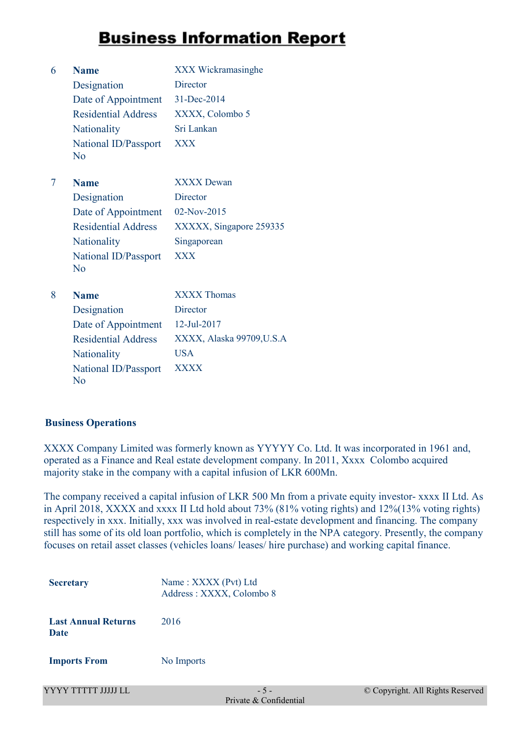| 6 | <b>Name</b>                | XXX Wickramasinghe        |
|---|----------------------------|---------------------------|
|   | Designation                | Director                  |
|   | Date of Appointment        | 31-Dec-2014               |
|   | <b>Residential Address</b> | XXXX, Colombo 5           |
|   | Nationality                | Sri Lankan                |
|   | National ID/Passport<br>No | <b>XXX</b>                |
| 7 | <b>Name</b>                | <b>XXXX Dewan</b>         |
|   | Designation                | Director                  |
|   | Date of Appointment        | 02-Nov-2015               |
|   | <b>Residential Address</b> | XXXXX, Singapore 259335   |
|   | Nationality                | Singaporean               |
|   | National ID/Passport<br>No | <b>XXX</b>                |
| 8 | <b>Name</b>                | <b>XXXX Thomas</b>        |
|   | Designation                | Director                  |
|   | Date of Appointment        | 12-Jul-2017               |
|   | <b>Residential Address</b> | XXXX, Alaska 99709, U.S.A |
|   | Nationality                | USA                       |
|   | National ID/Passport<br>Nο | <b>XXXX</b>               |

#### **Business Operations**

XXXX Company Limited was formerly known as YYYYY Co. Ltd. It was incorporated in 1961 and, operated as a Finance and Real estate development company. In 2011, Xxxx Colombo acquired majority stake in the company with a capital infusion of LKR 600Mn.

The company received a capital infusion of LKR 500 Mn from a private equity investor- xxxx II Ltd. As in April 2018, XXXX and xxxx II Ltd hold about 73% (81% voting rights) and 12%(13% voting rights) respectively in xxx. Initially, xxx was involved in real-estate development and financing. The company still has some of its old loan portfolio, which is completely in the NPA category. Presently, the company focuses on retail asset classes (vehicles loans/ leases/ hire purchase) and working capital finance.

| <b>Secretary</b>                          | Name: XXXX (Pvt) Ltd<br>Address: XXXX, Colombo 8 |
|-------------------------------------------|--------------------------------------------------|
| <b>Last Annual Returns</b><br><b>Date</b> | 2016                                             |
| <b>Imports From</b>                       | No Imports                                       |
| YYYY TTTTT JJJJJ LL                       | $Dmin$ $\alpha$ $\beta$ $Cmin$                   |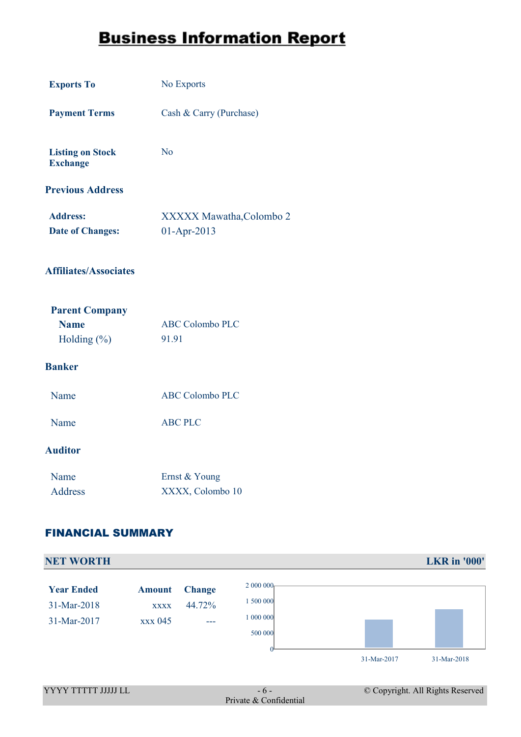| <b>Exports To</b>                                       | No Exports                              |
|---------------------------------------------------------|-----------------------------------------|
| <b>Payment Terms</b>                                    | Cash & Carry (Purchase)                 |
| <b>Listing on Stock</b><br><b>Exchange</b>              | N <sub>o</sub>                          |
| <b>Previous Address</b>                                 |                                         |
| <b>Address:</b><br><b>Date of Changes:</b>              | XXXXX Mawatha, Colombo 2<br>01-Apr-2013 |
| <b>Affiliates/Associates</b>                            |                                         |
| <b>Parent Company</b><br><b>Name</b><br>Holding $(\% )$ | <b>ABC Colombo PLC</b><br>91.91         |
| <b>Banker</b>                                           |                                         |
| Name                                                    | <b>ABC Colombo PLC</b>                  |
| Name                                                    | <b>ABC PLC</b>                          |
| <b>Auditor</b>                                          |                                         |
| Name<br><b>Address</b>                                  | Ernst & Young<br>XXXX, Colombo 10       |

#### FINANCIAL SUMMARY

| <b>NET WORTH</b>                                |                                         |                                |                                              |             | <b>LKR</b> in '000' |
|-------------------------------------------------|-----------------------------------------|--------------------------------|----------------------------------------------|-------------|---------------------|
| <b>Year Ended</b><br>31-Mar-2018<br>31-Mar-2017 | <b>Amount</b><br><b>XXXX</b><br>xxx 045 | <b>Change</b><br>44.72%<br>--- | 2 000 000<br>500 000<br>1 000 000<br>500 000 | 31-Mar-2017 | 31-Mar-2018         |
|                                                 |                                         |                                |                                              |             |                     |
| YYYY TTTTT JJJJJ LL                             |                                         |                                | © Copyright. All Rights Reserved<br>$-6-$    |             |                     |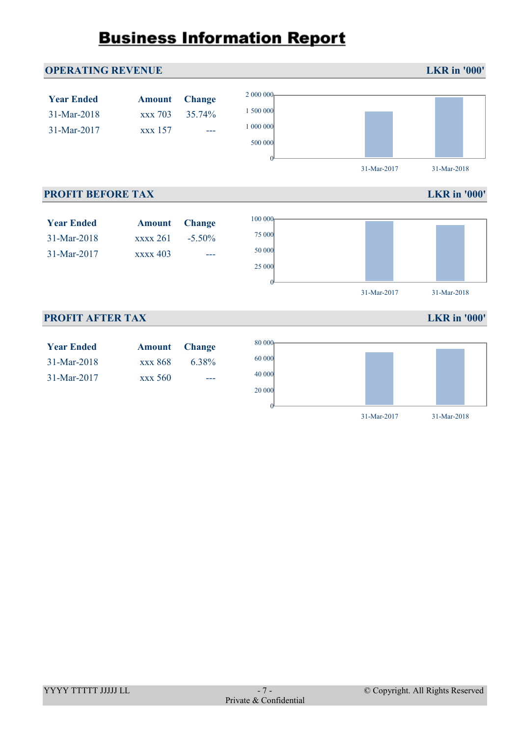

0

31-Mar-2017 31-Mar-2018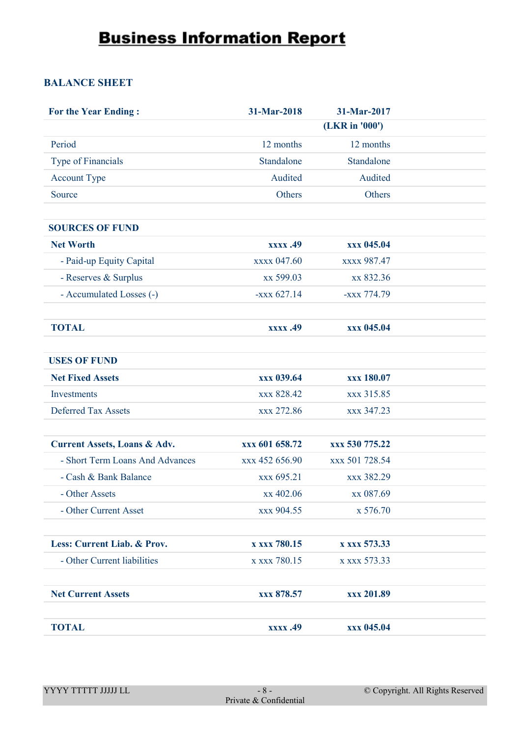#### **BALANCE SHEET**

| <b>For the Year Ending:</b>             | 31-Mar-2018    | 31-Mar-2017    |  |
|-----------------------------------------|----------------|----------------|--|
|                                         |                | (LKR in '000') |  |
| Period                                  | 12 months      | 12 months      |  |
| Type of Financials                      | Standalone     | Standalone     |  |
| <b>Account Type</b>                     | Audited        | Audited        |  |
| Source                                  | Others         | Others         |  |
|                                         |                |                |  |
| <b>SOURCES OF FUND</b>                  |                |                |  |
| <b>Net Worth</b>                        | xxxx .49       | xxx 045.04     |  |
| - Paid-up Equity Capital                | xxxx 047.60    | xxxx 987.47    |  |
| - Reserves & Surplus                    | xx 599.03      | xx 832.36      |  |
| - Accumulated Losses (-)                | $-xxxx 627.14$ | -xxx 774.79    |  |
|                                         |                |                |  |
| <b>TOTAL</b>                            | xxxx .49       | xxx 045.04     |  |
|                                         |                |                |  |
| <b>USES OF FUND</b>                     |                |                |  |
| <b>Net Fixed Assets</b>                 | xxx 039.64     | xxx 180.07     |  |
| Investments                             | xxx 828.42     | xxx 315.85     |  |
| <b>Deferred Tax Assets</b>              | xxx 272.86     | xxx 347.23     |  |
|                                         |                |                |  |
| <b>Current Assets, Loans &amp; Adv.</b> | xxx 601 658.72 | xxx 530 775.22 |  |
| - Short Term Loans And Advances         | xxx 452 656.90 | xxx 501 728.54 |  |
| - Cash & Bank Balance                   | xxx 695.21     | xxx 382.29     |  |
| - Other Assets                          | xx 402.06      | xx 087.69      |  |
| - Other Current Asset                   | xxx 904.55     | x 576.70       |  |
|                                         |                |                |  |
| Less: Current Liab. & Prov.             | x xxx 780.15   | x xxx 573.33   |  |
| - Other Current liabilities             | x xxx 780.15   | x xxx 573.33   |  |
|                                         |                |                |  |
| <b>Net Current Assets</b>               | xxx 878.57     | xxx 201.89     |  |
|                                         |                |                |  |
| <b>TOTAL</b>                            | xxxx .49       | xxx 045.04     |  |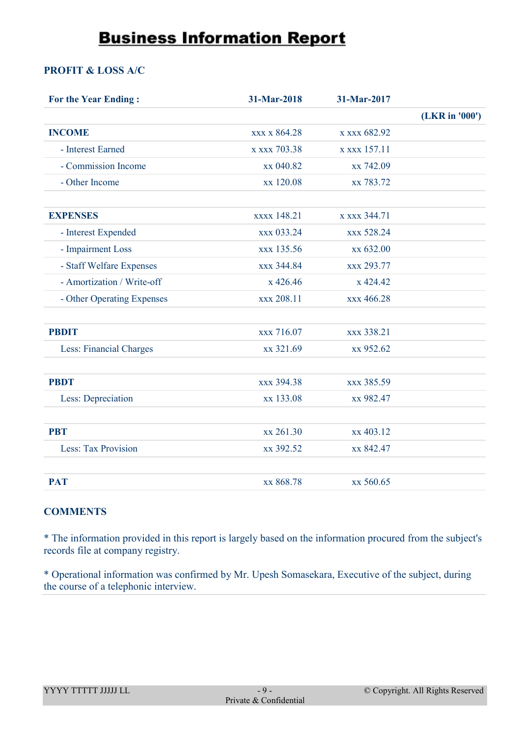#### **PROFIT & LOSS A/C**

| <b>For the Year Ending:</b> | 31-Mar-2018  | 31-Mar-2017  |                |
|-----------------------------|--------------|--------------|----------------|
|                             |              |              | (LKR in '000') |
| <b>INCOME</b>               | xxx x 864.28 | x xxx 682.92 |                |
| - Interest Earned           | x xxx 703.38 | x xxx 157.11 |                |
| - Commission Income         | xx 040.82    | xx 742.09    |                |
| - Other Income              | xx 120.08    | xx 783.72    |                |
|                             |              |              |                |
| <b>EXPENSES</b>             | xxxx 148.21  | x xxx 344.71 |                |
| - Interest Expended         | xxx 033.24   | xxx 528.24   |                |
| - Impairment Loss           | xxx 135.56   | xx 632.00    |                |
| - Staff Welfare Expenses    | xxx 344.84   | xxx 293.77   |                |
| - Amortization / Write-off  | x 426.46     | x 424.42     |                |
| - Other Operating Expenses  | xxx 208.11   | xxx 466.28   |                |
|                             |              |              |                |
| <b>PBDIT</b>                | xxx 716.07   | xxx 338.21   |                |
| Less: Financial Charges     | xx 321.69    | xx 952.62    |                |
|                             |              |              |                |
| <b>PBDT</b>                 | xxx 394.38   | xxx 385.59   |                |
| Less: Depreciation          | xx 133.08    | xx 982.47    |                |
|                             |              |              |                |
| <b>PBT</b>                  | xx 261.30    | xx 403.12    |                |
| Less: Tax Provision         | xx 392.52    | xx 842.47    |                |
|                             |              |              |                |
| <b>PAT</b>                  | xx 868.78    | xx 560.65    |                |

#### **COMMENTS**

\* The information provided in this report is largely based on the information procured from the subject's records file at company registry.

\* Operational information was confirmed by Mr. Upesh Somasekara, Executive of the subject, during the course of a telephonic interview.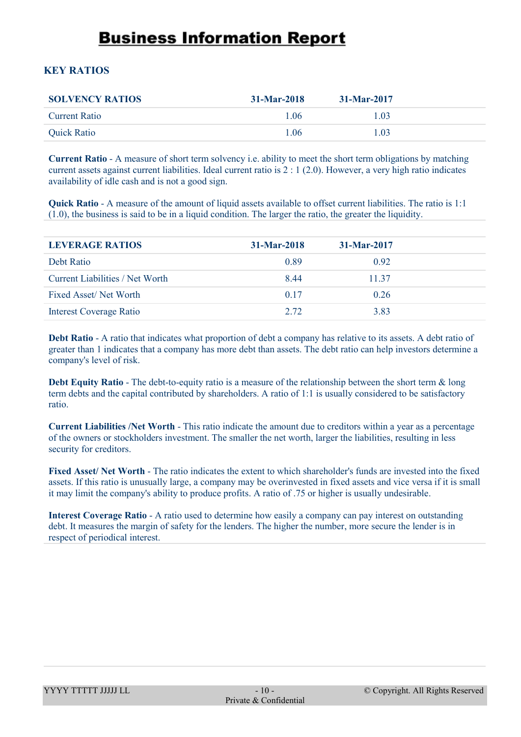#### **KEY RATIOS**

| <b>SOLVENCY RATIOS</b> | $31-Mar-2018$ | $31-Mar-2017$ |
|------------------------|---------------|---------------|
| <b>Current Ratio</b>   | l 06          | 1.03          |
| <b>Quick Ratio</b>     | 1.06          | 1.03          |

**Current Ratio** - A measure of short term solvency i.e. ability to meet the short term obligations by matching current assets against current liabilities. Ideal current ratio is 2 : 1 (2.0). However, a very high ratio indicates availability of idle cash and is not a good sign.

**Quick Ratio** - A measure of the amount of liquid assets available to offset current liabilities. The ratio is 1:1 (1.0), the business is said to be in a liquid condition. The larger the ratio, the greater the liquidity.

| <b>LEVERAGE RATIOS</b>          | $31-Mar-2018$ | 31-Mar-2017 |
|---------------------------------|---------------|-------------|
| Debt Ratio                      | 0.89          | 0.92        |
| Current Liabilities / Net Worth | 8.44          | 11 37       |
| Fixed Asset/Net Worth           | 0.17          | 0.26        |
| <b>Interest Coverage Ratio</b>  | 2.72          | 3.83        |

**Debt Ratio** - A ratio that indicates what proportion of debt a company has relative to its assets. A debt ratio of greater than 1 indicates that a company has more debt than assets. The debt ratio can help investors determine a company's level of risk.

**Debt Equity Ratio** - The debt-to-equity ratio is a measure of the relationship between the short term & long term debts and the capital contributed by shareholders. A ratio of 1:1 is usually considered to be satisfactory ratio.

**Current Liabilities /Net Worth** - This ratio indicate the amount due to creditors within a year as a percentage of the owners or stockholders investment. The smaller the net worth, larger the liabilities, resulting in less security for creditors.

**Fixed Asset/ Net Worth** - The ratio indicates the extent to which shareholder's funds are invested into the fixed assets. If this ratio is unusually large, a company may be overinvested in fixed assets and vice versa if it is small it may limit the company's ability to produce profits. A ratio of .75 or higher is usually undesirable.

**Interest Coverage Ratio** - A ratio used to determine how easily a company can pay interest on outstanding debt. It measures the margin of safety for the lenders. The higher the number, more secure the lender is in respect of periodical interest.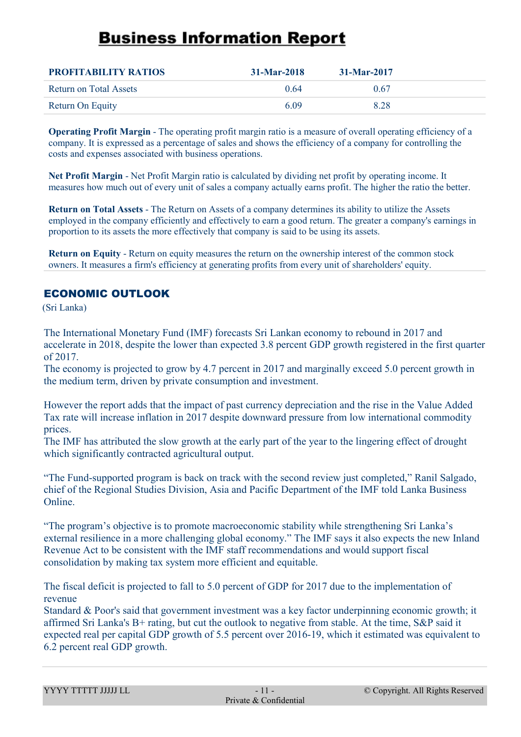| <b>PROFITABILITY RATIOS</b> | $31-Mar-2018$ | $31-Mar-2017$ |  |
|-----------------------------|---------------|---------------|--|
| Return on Total Assets      | 0.64          | 0.67          |  |
| Return On Equity            | 6.09          | 8.28          |  |

**Operating Profit Margin** - The operating profit margin ratio is a measure of overall operating efficiency of a company. It is expressed as a percentage of sales and shows the efficiency of a company for controlling the costs and expenses associated with business operations.

**Net Profit Margin** - Net Profit Margin ratio is calculated by dividing net profit by operating income. It measures how much out of every unit of sales a company actually earns profit. The higher the ratio the better.

**Return on Total Assets** - The Return on Assets of a company determines its ability to utilize the Assets employed in the company efficiently and effectively to earn a good return. The greater a company's earnings in proportion to its assets the more effectively that company is said to be using its assets.

**Return on Equity** - Return on equity measures the return on the ownership interest of the common stock owners. It measures a firm's efficiency at generating profits from every unit of shareholders' equity.

#### ECONOMIC OUTLOOK

(Sri Lanka)

The International Monetary Fund (IMF) forecasts Sri Lankan economy to rebound in 2017 and accelerate in 2018, despite the lower than expected 3.8 percent GDP growth registered in the first quarter of 2017.

The economy is projected to grow by 4.7 percent in 2017 and marginally exceed 5.0 percent growth in the medium term, driven by private consumption and investment.

However the report adds that the impact of past currency depreciation and the rise in the Value Added Tax rate will increase inflation in 2017 despite downward pressure from low international commodity prices.

The IMF has attributed the slow growth at the early part of the year to the lingering effect of drought which significantly contracted agricultural output.

"The Fund-supported program is back on track with the second review just completed," Ranil Salgado, chief of the Regional Studies Division, Asia and Pacific Department of the IMF told Lanka Business Online.

"The program's objective is to promote macroeconomic stability while strengthening Sri Lanka's external resilience in a more challenging global economy." The IMF says it also expects the new Inland Revenue Act to be consistent with the IMF staff recommendations and would support fiscal consolidation by making tax system more efficient and equitable.

The fiscal deficit is projected to fall to 5.0 percent of GDP for 2017 due to the implementation of revenue

Standard & Poor's said that government investment was a key factor underpinning economic growth; it affirmed Sri Lanka's B+ rating, but cut the outlook to negative from stable. At the time, S&P said it expected real per capital GDP growth of 5.5 percent over 2016-19, which it estimated was equivalent to 6.2 percent real GDP growth.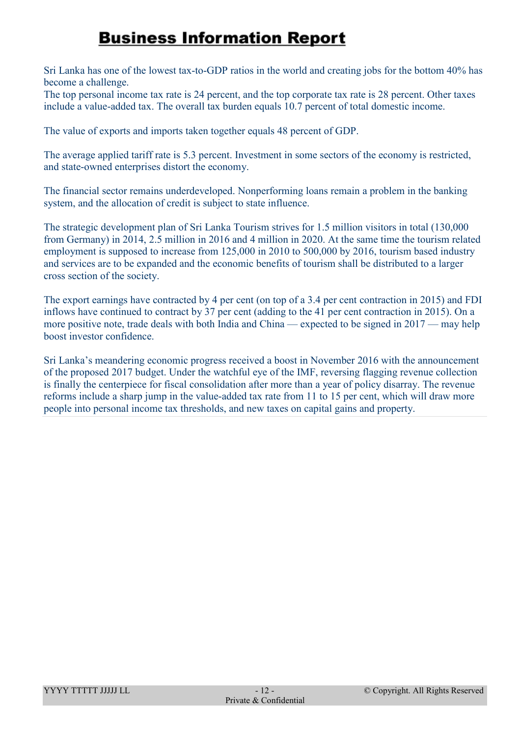Sri Lanka has one of the lowest tax-to-GDP ratios in the world and creating jobs for the bottom 40% has become a challenge.

The top personal income tax rate is 24 percent, and the top corporate tax rate is 28 percent. Other taxes include a value-added tax. The overall tax burden equals 10.7 percent of total domestic income.

The value of exports and imports taken together equals 48 percent of GDP.

The average applied tariff rate is 5.3 percent. Investment in some sectors of the economy is restricted, and state-owned enterprises distort the economy.

The financial sector remains underdeveloped. Nonperforming loans remain a problem in the banking system, and the allocation of credit is subject to state influence.

The strategic development plan of Sri Lanka Tourism strives for 1.5 million visitors in total (130,000 from Germany) in 2014, 2.5 million in 2016 and 4 million in 2020. At the same time the tourism related employment is supposed to increase from 125,000 in 2010 to 500,000 by 2016, tourism based industry and services are to be expanded and the economic benefits of tourism shall be distributed to a larger cross section of the society.

The export earnings have contracted by 4 per cent (on top of a 3.4 per cent contraction in 2015) and FDI inflows have continued to contract by 37 per cent (adding to the 41 per cent contraction in 2015). On a more positive note, trade deals with both India and China — expected to be signed in 2017 — may help boost investor confidence.

Sri Lanka's meandering economic progress received a boost in November 2016 with the announcement of the proposed 2017 budget. Under the watchful eye of the IMF, reversing flagging revenue collection is finally the centerpiece for fiscal consolidation after more than a year of policy disarray. The revenue reforms include a sharp jump in the value-added tax rate from 11 to 15 per cent, which will draw more people into personal income tax thresholds, and new taxes on capital gains and property.